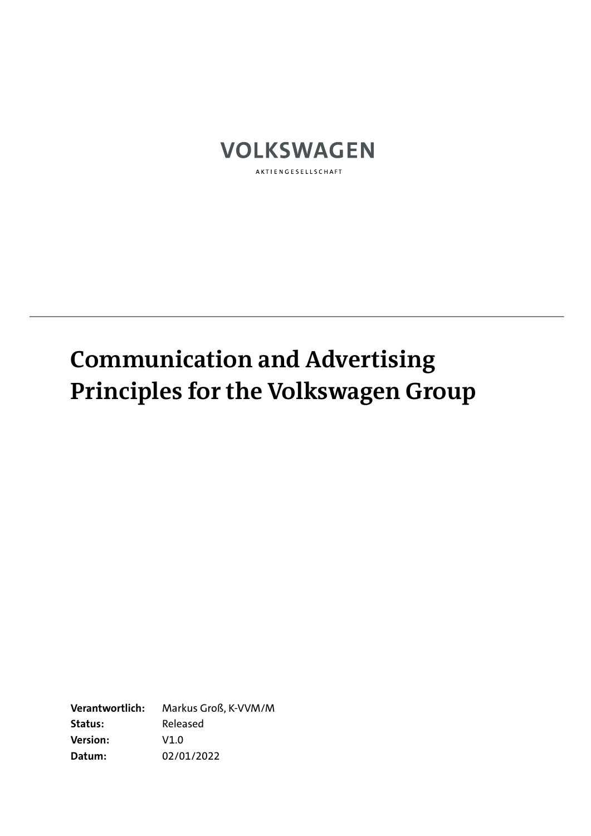

# **Communication and Advertising Principles for the Volkswagen Group**

**Verantwortlich:** Markus Groß, K-VVM/M **Status:** Released **Version:** V1.0 **Datum:** 02/01/2022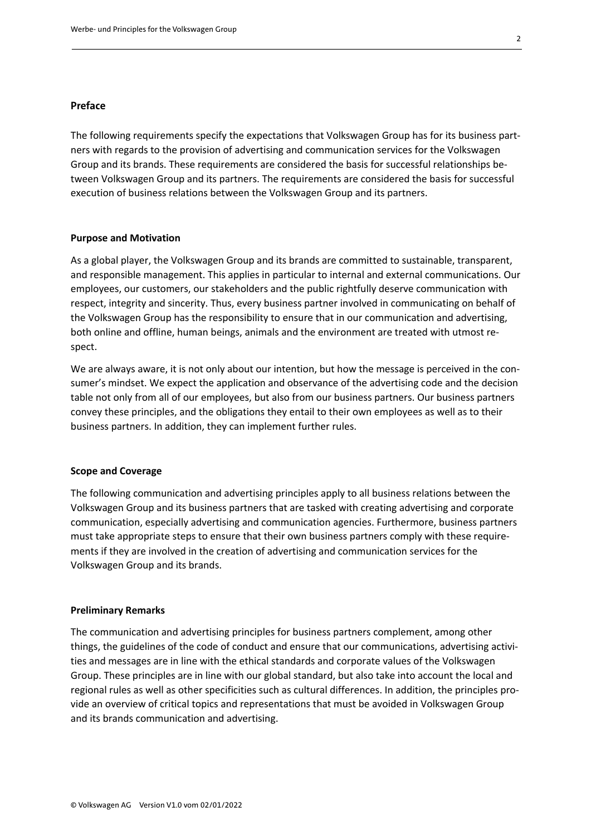## **Preface**

The following requirements specify the expectations that Volkswagen Group has for its business partners with regards to the provision of advertising and communication services for the Volkswagen Group and its brands. These requirements are considered the basis for successful relationships between Volkswagen Group and its partners. The requirements are considered the basis for successful execution of business relations between the Volkswagen Group and its partners.

## **Purpose and Motivation**

As a global player, the Volkswagen Group and its brands are committed to sustainable, transparent, and responsible management. This applies in particular to internal and external communications. Our employees, our customers, our stakeholders and the public rightfully deserve communication with respect, integrity and sincerity. Thus, every business partner involved in communicating on behalf of the Volkswagen Group has the responsibility to ensure that in our communication and advertising, both online and offline, human beings, animals and the environment are treated with utmost respect.

We are always aware, it is not only about our intention, but how the message is perceived in the consumer's mindset. We expect the application and observance of the advertising code and the decision table not only from all of our employees, but also from our business partners. Our business partners convey these principles, and the obligations they entail to their own employees as well as to their business partners. In addition, they can implement further rules.

#### **Scope and Coverage**

The following communication and advertising principles apply to all business relations between the Volkswagen Group and its business partners that are tasked with creating advertising and corporate communication, especially advertising and communication agencies. Furthermore, business partners must take appropriate steps to ensure that their own business partners comply with these requirements if they are involved in the creation of advertising and communication services for the Volkswagen Group and its brands.

#### **Preliminary Remarks**

The communication and advertising principles for business partners complement, among other things, the guidelines of the code of conduct and ensure that our communications, advertising activities and messages are in line with the ethical standards and corporate values of the Volkswagen Group. These principles are in line with our global standard, but also take into account the local and regional rules as well as other specificities such as cultural differences. In addition, the principles provide an overview of critical topics and representations that must be avoided in Volkswagen Group and its brands communication and advertising.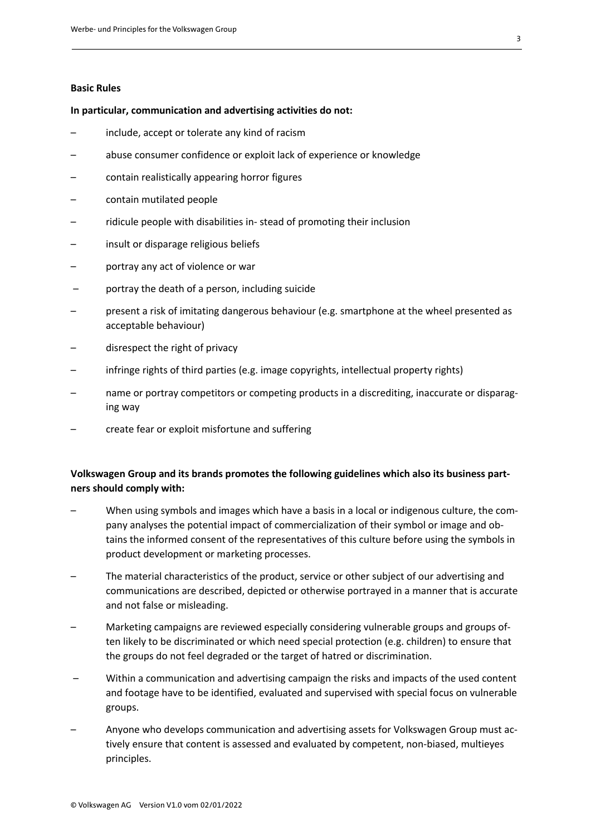## **Basic Rules**

#### **In particular, communication and advertising activities do not:**

- include, accept or tolerate any kind of racism
- abuse consumer confidence or exploit lack of experience or knowledge
- contain realistically appearing horror figures
- contain mutilated people
- ridicule people with disabilities in- stead of promoting their inclusion
- insult or disparage religious beliefs
- portray any act of violence or war
- portray the death of a person, including suicide
- present a risk of imitating dangerous behaviour (e.g. smartphone at the wheel presented as acceptable behaviour)
- disrespect the right of privacy
- infringe rights of third parties (e.g. image copyrights, intellectual property rights)
- name or portray competitors or competing products in a discrediting, inaccurate or disparaging way
- create fear or exploit misfortune and suffering

# **Volkswagen Group and its brands promotes the following guidelines which also its business partners should comply with:**

- When using symbols and images which have a basis in a local or indigenous culture, the company analyses the potential impact of commercialization of their symbol or image and obtains the informed consent of the representatives of this culture before using the symbols in product development or marketing processes.
- The material characteristics of the product, service or other subject of our advertising and communications are described, depicted or otherwise portrayed in a manner that is accurate and not false or misleading.
- Marketing campaigns are reviewed especially considering vulnerable groups and groups often likely to be discriminated or which need special protection (e.g. children) to ensure that the groups do not feel degraded or the target of hatred or discrimination.
- Within a communication and advertising campaign the risks and impacts of the used content and footage have to be identified, evaluated and supervised with special focus on vulnerable groups.
- Anyone who develops communication and advertising assets for Volkswagen Group must actively ensure that content is assessed and evaluated by competent, non-biased, multieyes principles.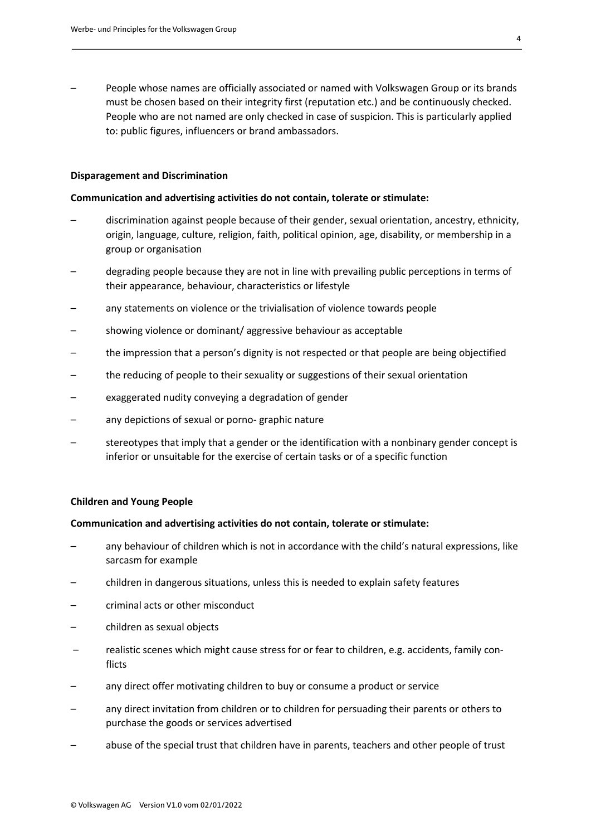– People whose names are officially associated or named with Volkswagen Group or its brands must be chosen based on their integrity first (reputation etc.) and be continuously checked. People who are not named are only checked in case of suspicion. This is particularly applied to: public figures, influencers or brand ambassadors.

#### **Disparagement and Discrimination**

#### **Communication and advertising activities do not contain, tolerate or stimulate:**

- discrimination against people because of their gender, sexual orientation, ancestry, ethnicity, origin, language, culture, religion, faith, political opinion, age, disability, or membership in a group or organisation
- degrading people because they are not in line with prevailing public perceptions in terms of their appearance, behaviour, characteristics or lifestyle
- any statements on violence or the trivialisation of violence towards people
- showing violence or dominant/ aggressive behaviour as acceptable
- the impression that a person's dignity is not respected or that people are being objectified
- the reducing of people to their sexuality or suggestions of their sexual orientation
- exaggerated nudity conveying a degradation of gender
- any depictions of sexual or porno- graphic nature
- stereotypes that imply that a gender or the identification with a nonbinary gender concept is inferior or unsuitable for the exercise of certain tasks or of a specific function

#### **Children and Young People**

#### **Communication and advertising activities do not contain, tolerate or stimulate:**

- any behaviour of children which is not in accordance with the child's natural expressions, like sarcasm for example
- children in dangerous situations, unless this is needed to explain safety features
- criminal acts or other misconduct
- children as sexual objects
- realistic scenes which might cause stress for or fear to children, e.g. accidents, family conflicts
- any direct offer motivating children to buy or consume a product or service
- any direct invitation from children or to children for persuading their parents or others to purchase the goods or services advertised
- abuse of the special trust that children have in parents, teachers and other people of trust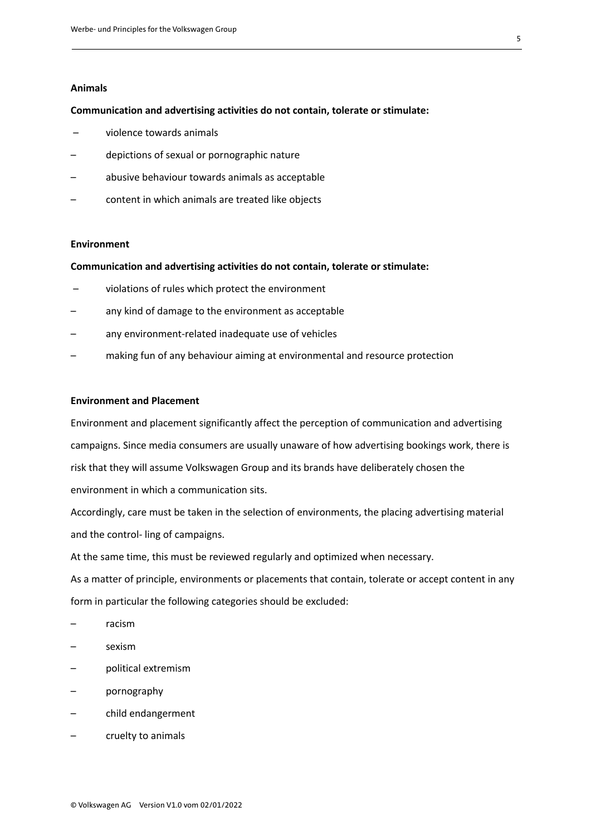## **Animals**

#### **Communication and advertising activities do not contain, tolerate or stimulate:**

- violence towards animals
- depictions of sexual or pornographic nature
- abusive behaviour towards animals as acceptable
- content in which animals are treated like objects

#### **Environment**

## **Communication and advertising activities do not contain, tolerate or stimulate:**

- violations of rules which protect the environment
- any kind of damage to the environment as acceptable
- any environment-related inadequate use of vehicles
- making fun of any behaviour aiming at environmental and resource protection

## **Environment and Placement**

Environment and placement significantly affect the perception of communication and advertising campaigns. Since media consumers are usually unaware of how advertising bookings work, there is risk that they will assume Volkswagen Group and its brands have deliberately chosen the environment in which a communication sits.

Accordingly, care must be taken in the selection of environments, the placing advertising material and the control- ling of campaigns.

At the same time, this must be reviewed regularly and optimized when necessary.

As a matter of principle, environments or placements that contain, tolerate or accept content in any form in particular the following categories should be excluded:

- racism
- sexism
- political extremism
- pornography
- child endangerment
- cruelty to animals